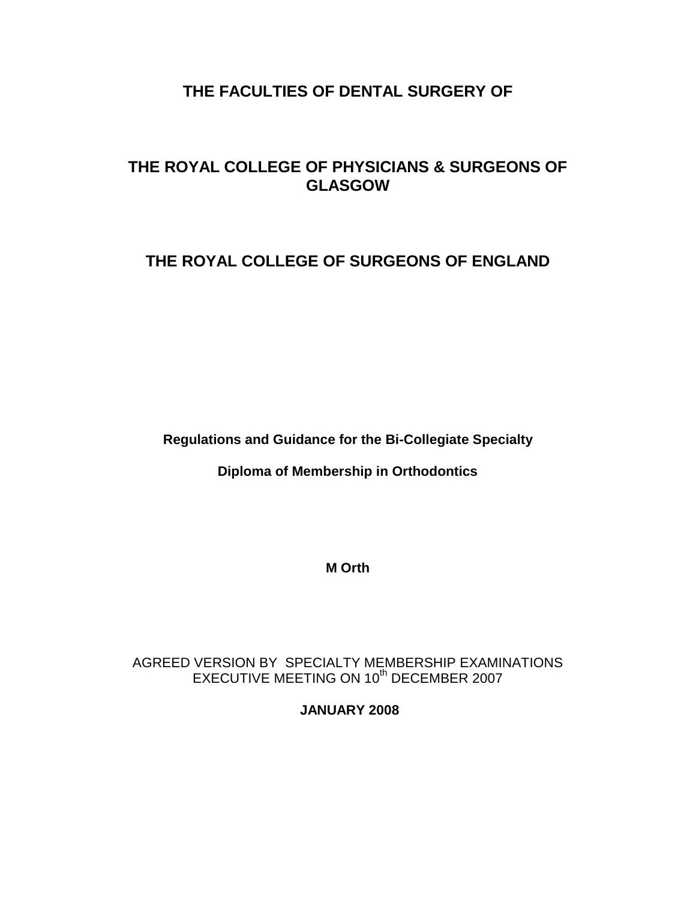# **THE FACULTIES OF DENTAL SURGERY OF**

# **THE ROYAL COLLEGE OF PHYSICIANS & SURGEONS OF GLASGOW**

# **THE ROYAL COLLEGE OF SURGEONS OF ENGLAND**

**Regulations and Guidance for the Bi-Collegiate Specialty** 

**Diploma of Membership in Orthodontics**

**M Orth**

AGREED VERSION BY SPECIALTY MEMBERSHIP EXAMINATIONS EXECUTIVE MEETING ON 10<sup>th</sup> DECEMBER 2007

**JANUARY 2008**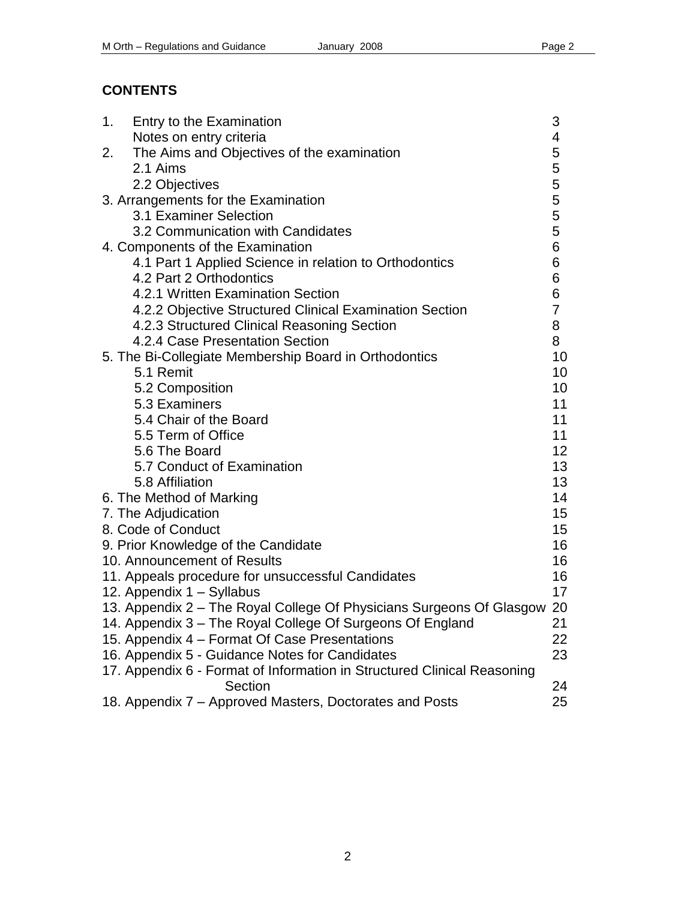# **CONTENTS**

| 1.                                  | Entry to the Examination                                                | 3                    |
|-------------------------------------|-------------------------------------------------------------------------|----------------------|
|                                     | Notes on entry criteria                                                 | 4                    |
| 2.                                  | The Aims and Objectives of the examination                              | 5                    |
|                                     | 2.1 Aims                                                                | 5                    |
|                                     | 2.2 Objectives                                                          | 5                    |
| 3. Arrangements for the Examination |                                                                         |                      |
|                                     | 3.1 Examiner Selection                                                  | 5<br>5               |
|                                     | 3.2 Communication with Candidates                                       | 5                    |
| 4. Components of the Examination    |                                                                         |                      |
|                                     | 4.1 Part 1 Applied Science in relation to Orthodontics                  | $6\phantom{1}6$<br>6 |
|                                     | 4.2 Part 2 Orthodontics                                                 | 6                    |
|                                     | 4.2.1 Written Examination Section                                       | 6                    |
|                                     | 4.2.2 Objective Structured Clinical Examination Section                 | $\overline{7}$       |
|                                     | 4.2.3 Structured Clinical Reasoning Section                             | 8                    |
|                                     | 4.2.4 Case Presentation Section                                         | 8                    |
|                                     | 5. The Bi-Collegiate Membership Board in Orthodontics                   | 10                   |
|                                     | 5.1 Remit                                                               | 10                   |
|                                     | 5.2 Composition                                                         | 10                   |
|                                     | 5.3 Examiners                                                           | 11                   |
|                                     | 5.4 Chair of the Board                                                  | 11                   |
|                                     | 5.5 Term of Office                                                      | 11                   |
|                                     | 5.6 The Board                                                           | 12 <sub>2</sub>      |
|                                     | 5.7 Conduct of Examination                                              | 13                   |
|                                     | 5.8 Affiliation                                                         | 13                   |
|                                     | 6. The Method of Marking                                                | 14                   |
|                                     | 7. The Adjudication                                                     | 15 <sub>2</sub>      |
|                                     | 8. Code of Conduct                                                      | 15 <sub>15</sub>     |
|                                     | 9. Prior Knowledge of the Candidate                                     | 16                   |
|                                     | 10. Announcement of Results                                             | 16                   |
|                                     | 11. Appeals procedure for unsuccessful Candidates                       | 16                   |
|                                     | 12. Appendix 1 - Syllabus                                               | 17                   |
|                                     | 13. Appendix 2 - The Royal College Of Physicians Surgeons Of Glasgow 20 |                      |
|                                     | 14. Appendix 3 - The Royal College Of Surgeons Of England               | 21                   |
|                                     | 15. Appendix 4 – Format Of Case Presentations                           | 22                   |
|                                     | 16. Appendix 5 - Guidance Notes for Candidates                          | 23                   |
|                                     | 17. Appendix 6 - Format of Information in Structured Clinical Reasoning |                      |
|                                     | Section                                                                 | 24                   |
|                                     | 18. Appendix 7 – Approved Masters, Doctorates and Posts                 | 25                   |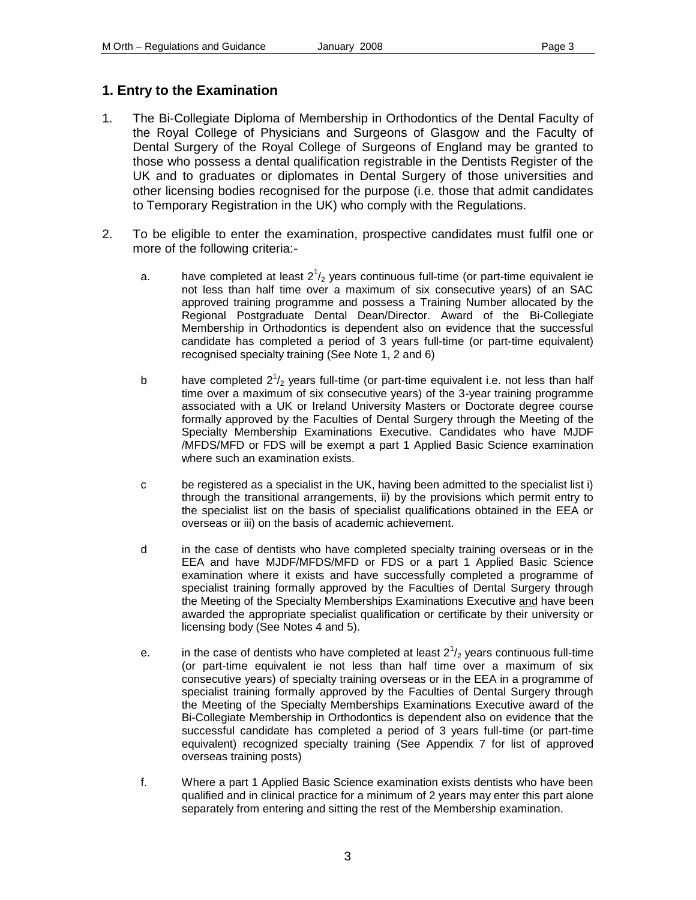# **1. Entry to the Examination**

- 1. The Bi-Collegiate Diploma of Membership in Orthodontics of the Dental Faculty of the Royal College of Physicians and Surgeons of Glasgow and the Faculty of Dental Surgery of the Royal College of Surgeons of England may be granted to those who possess a dental qualification registrable in the Dentists Register of the UK and to graduates or diplomates in Dental Surgery of those universities and other licensing bodies recognised for the purpose (i.e. those that admit candidates to Temporary Registration in the UK) who comply with the Regulations.
- 2. To be eligible to enter the examination, prospective candidates must fulfil one or more of the following criteria:
	- a.  $\blacksquare$  have completed at least  $2^1/2$  years continuous full-time (or part-time equivalent ie not less than half time over a maximum of six consecutive years) of an SAC approved training programme and possess a Training Number allocated by the Regional Postgraduate Dental Dean/Director. Award of the Bi-Collegiate Membership in Orthodontics is dependent also on evidence that the successful candidate has completed a period of 3 years full-time (or part-time equivalent) recognised specialty training (See Note 1, 2 and 6)
	- b have completed  $2^{1}/_{2}$  years full-time (or part-time equivalent i.e. not less than half time over a maximum of six consecutive years) of the 3-year training programme associated with a UK or Ireland University Masters or Doctorate degree course formally approved by the Faculties of Dental Surgery through the Meeting of the Specialty Membership Examinations Executive. Candidates who have MJDF /MFDS/MFD or FDS will be exempt a part 1 Applied Basic Science examination where such an examination exists.
	- c be registered as a specialist in the UK, having been admitted to the specialist list i) through the transitional arrangements, ii) by the provisions which permit entry to the specialist list on the basis of specialist qualifications obtained in the EEA or overseas or iii) on the basis of academic achievement.
	- d in the case of dentists who have completed specialty training overseas or in the EEA and have MJDF/MFDS/MFD or FDS or a part 1 Applied Basic Science examination where it exists and have successfully completed a programme of specialist training formally approved by the Faculties of Dental Surgery through the Meeting of the Specialty Memberships Examinations Executive and have been awarded the appropriate specialist qualification or certificate by their university or licensing body (See Notes 4 and 5).
	- e. in the case of dentists who have completed at least  $2^{1}/_{2}$  years continuous full-time (or part-time equivalent ie not less than half time over a maximum of six consecutive years) of specialty training overseas or in the EEA in a programme of specialist training formally approved by the Faculties of Dental Surgery through the Meeting of the Specialty Memberships Examinations Executive award of the Bi-Collegiate Membership in Orthodontics is dependent also on evidence that the successful candidate has completed a period of 3 years full-time (or part-time equivalent) recognized specialty training (See Appendix 7 for list of approved overseas training posts)
	- f. Where a part 1 Applied Basic Science examination exists dentists who have been qualified and in clinical practice for a minimum of 2 years may enter this part alone separately from entering and sitting the rest of the Membership examination.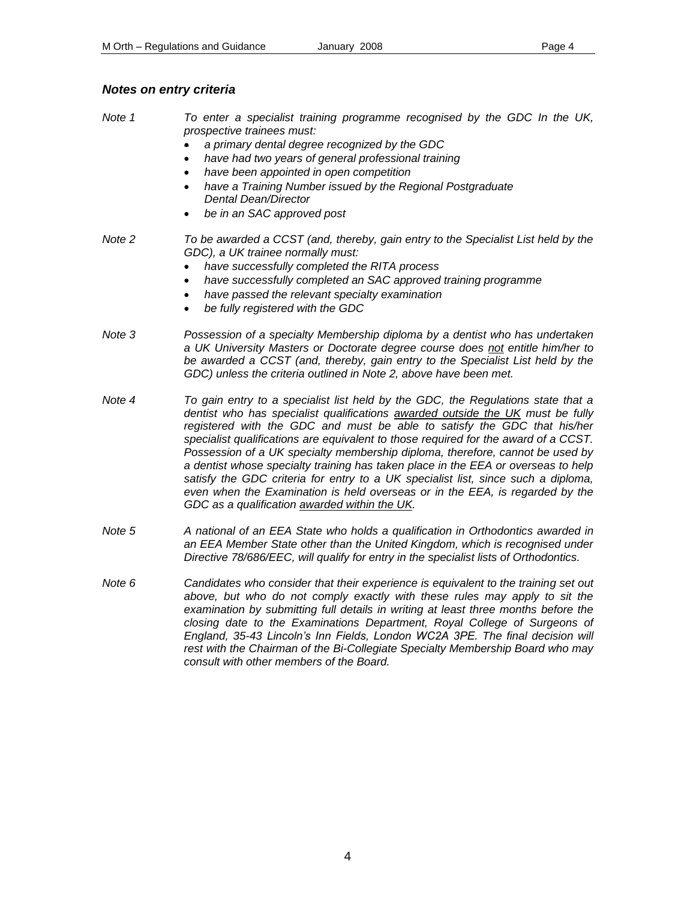# *Notes on entry criteria*

| Note 1 | To enter a specialist training programme recognised by the GDC In the UK,<br>prospective trainees must:<br>a primary dental degree recognized by the GDC<br>have had two years of general professional training<br>have been appointed in open competition<br>have a Training Number issued by the Regional Postgraduate<br>٠<br>Dental Dean/Director<br>be in an SAC approved post                                                                                                                                                                                                                                                                                                                                               |
|--------|-----------------------------------------------------------------------------------------------------------------------------------------------------------------------------------------------------------------------------------------------------------------------------------------------------------------------------------------------------------------------------------------------------------------------------------------------------------------------------------------------------------------------------------------------------------------------------------------------------------------------------------------------------------------------------------------------------------------------------------|
| Note 2 | To be awarded a CCST (and, thereby, gain entry to the Specialist List held by the<br>GDC), a UK trainee normally must:<br>have successfully completed the RITA process<br>have successfully completed an SAC approved training programme<br>have passed the relevant specialty examination<br>be fully registered with the GDC                                                                                                                                                                                                                                                                                                                                                                                                    |
| Note 3 | Possession of a specialty Membership diploma by a dentist who has undertaken<br>a UK University Masters or Doctorate degree course does not entitle him/her to<br>be awarded a CCST (and, thereby, gain entry to the Specialist List held by the<br>GDC) unless the criteria outlined in Note 2, above have been met.                                                                                                                                                                                                                                                                                                                                                                                                             |
| Note 4 | To gain entry to a specialist list held by the GDC, the Regulations state that a<br>dentist who has specialist qualifications awarded outside the UK must be fully<br>registered with the GDC and must be able to satisfy the GDC that his/her<br>specialist qualifications are equivalent to those required for the award of a CCST.<br>Possession of a UK specialty membership diploma, therefore, cannot be used by<br>a dentist whose specialty training has taken place in the EEA or overseas to help<br>satisfy the GDC criteria for entry to a UK specialist list, since such a diploma,<br>even when the Examination is held overseas or in the EEA, is regarded by the<br>GDC as a qualification awarded within the UK. |
| Note 5 | A national of an EEA State who holds a qualification in Orthodontics awarded in<br>an EEA Member State other than the United Kingdom, which is recognised under<br>Directive 78/686/EEC, will qualify for entry in the specialist lists of Orthodontics.                                                                                                                                                                                                                                                                                                                                                                                                                                                                          |
| Note 6 | Candidates who consider that their experience is equivalent to the training set out<br>above, but who do not comply exactly with these rules may apply to sit the<br>examination by submitting full details in writing at least three months before the<br>closing date to the Examinations Department, Royal College of Surgeons of<br>England, 35-43 Lincoln's Inn Fields, London WC2A 3PE. The final decision will<br>rest with the Chairman of the Bi-Collegiate Specialty Membership Board who may                                                                                                                                                                                                                           |

*consult with other members of the Board.*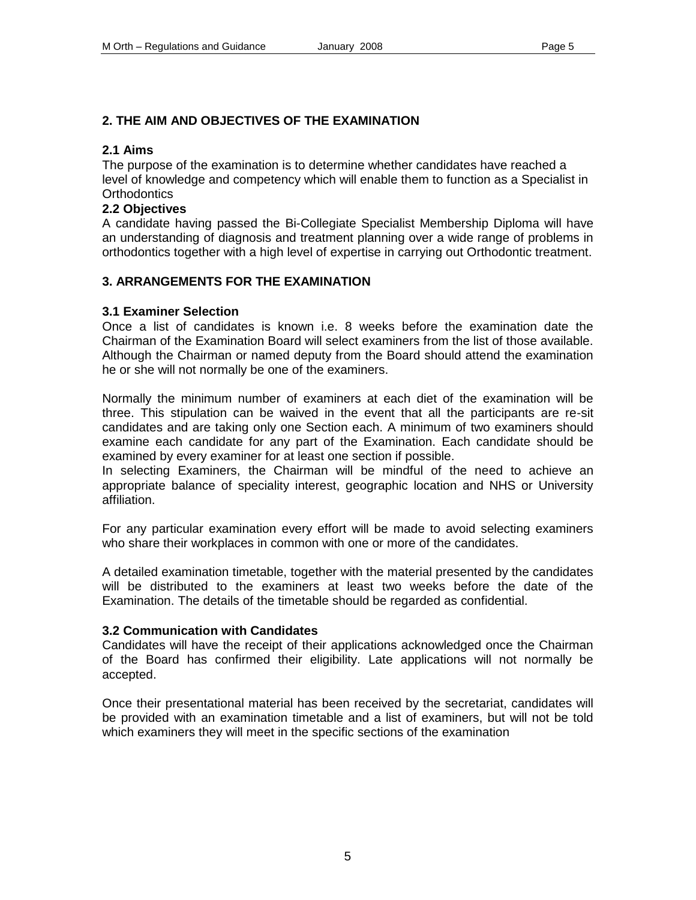### **2. THE AIM AND OBJECTIVES OF THE EXAMINATION**

#### **2.1 Aims**

The purpose of the examination is to determine whether candidates have reached a level of knowledge and competency which will enable them to function as a Specialist in **Orthodontics** 

#### **2.2 Objectives**

A candidate having passed the Bi-Collegiate Specialist Membership Diploma will have an understanding of diagnosis and treatment planning over a wide range of problems in orthodontics together with a high level of expertise in carrying out Orthodontic treatment.

### **3. ARRANGEMENTS FOR THE EXAMINATION**

#### **3.1 Examiner Selection**

Once a list of candidates is known i.e. 8 weeks before the examination date the Chairman of the Examination Board will select examiners from the list of those available. Although the Chairman or named deputy from the Board should attend the examination he or she will not normally be one of the examiners.

Normally the minimum number of examiners at each diet of the examination will be three. This stipulation can be waived in the event that all the participants are re-sit candidates and are taking only one Section each. A minimum of two examiners should examine each candidate for any part of the Examination. Each candidate should be examined by every examiner for at least one section if possible.

In selecting Examiners, the Chairman will be mindful of the need to achieve an appropriate balance of speciality interest, geographic location and NHS or University affiliation.

For any particular examination every effort will be made to avoid selecting examiners who share their workplaces in common with one or more of the candidates.

A detailed examination timetable, together with the material presented by the candidates will be distributed to the examiners at least two weeks before the date of the Examination. The details of the timetable should be regarded as confidential.

#### **3.2 Communication with Candidates**

Candidates will have the receipt of their applications acknowledged once the Chairman of the Board has confirmed their eligibility. Late applications will not normally be accepted.

Once their presentational material has been received by the secretariat, candidates will be provided with an examination timetable and a list of examiners, but will not be told which examiners they will meet in the specific sections of the examination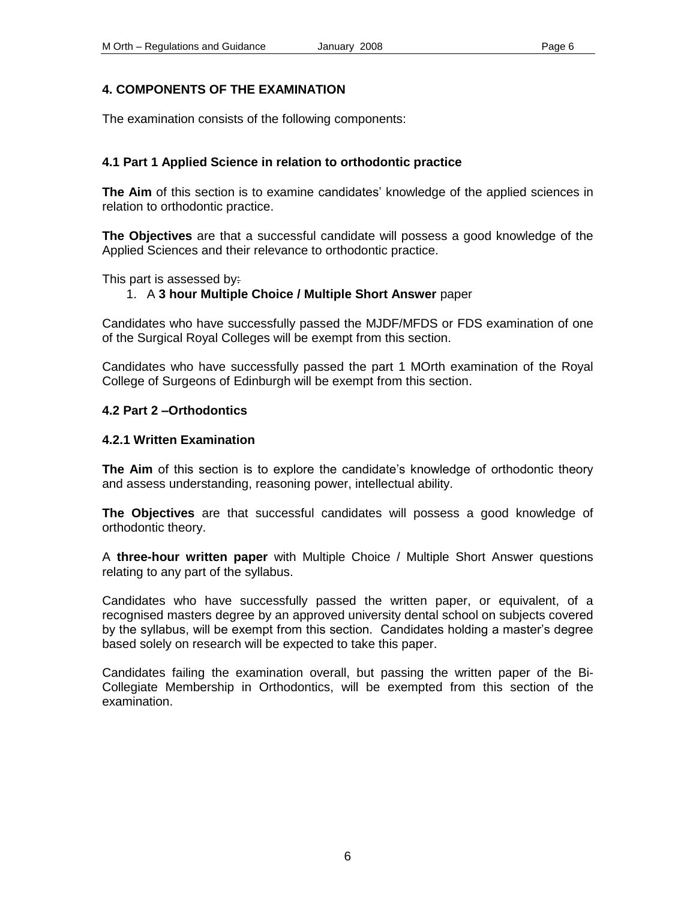### **4. COMPONENTS OF THE EXAMINATION**

The examination consists of the following components:

### **4.1 Part 1 Applied Science in relation to orthodontic practice**

**The Aim** of this section is to examine candidates' knowledge of the applied sciences in relation to orthodontic practice.

**The Objectives** are that a successful candidate will possess a good knowledge of the Applied Sciences and their relevance to orthodontic practice.

This part is assessed by:

### 1. A **3 hour Multiple Choice / Multiple Short Answer** paper

Candidates who have successfully passed the MJDF/MFDS or FDS examination of one of the Surgical Royal Colleges will be exempt from this section.

Candidates who have successfully passed the part 1 MOrth examination of the Royal College of Surgeons of Edinburgh will be exempt from this section.

#### **4.2 Part 2 –Orthodontics**

#### **4.2.1 Written Examination**

**The Aim** of this section is to explore the candidate's knowledge of orthodontic theory and assess understanding, reasoning power, intellectual ability.

**The Objectives** are that successful candidates will possess a good knowledge of orthodontic theory.

A **three-hour written paper** with Multiple Choice / Multiple Short Answer questions relating to any part of the syllabus.

Candidates who have successfully passed the written paper, or equivalent, of a recognised masters degree by an approved university dental school on subjects covered by the syllabus, will be exempt from this section. Candidates holding a master's degree based solely on research will be expected to take this paper.

Candidates failing the examination overall, but passing the written paper of the Bi-Collegiate Membership in Orthodontics, will be exempted from this section of the examination.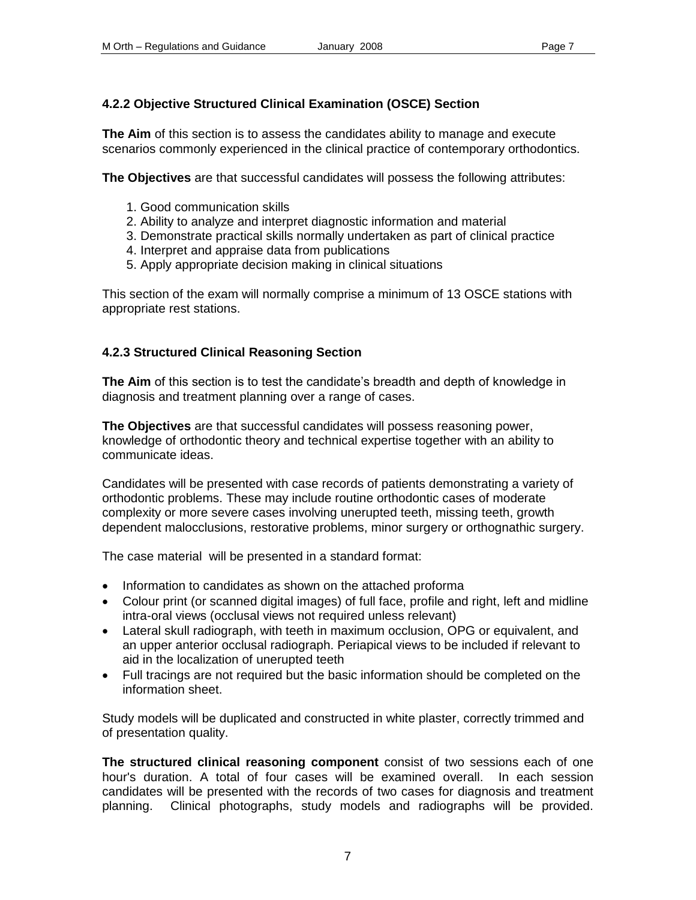# **4.2.2 Objective Structured Clinical Examination (OSCE) Section**

**The Aim** of this section is to assess the candidates ability to manage and execute scenarios commonly experienced in the clinical practice of contemporary orthodontics.

**The Objectives** are that successful candidates will possess the following attributes:

- 1. Good communication skills
- 2. Ability to analyze and interpret diagnostic information and material
- 3. Demonstrate practical skills normally undertaken as part of clinical practice
- 4. Interpret and appraise data from publications
- 5. Apply appropriate decision making in clinical situations

This section of the exam will normally comprise a minimum of 13 OSCE stations with appropriate rest stations.

# **4.2.3 Structured Clinical Reasoning Section**

**The Aim** of this section is to test the candidate's breadth and depth of knowledge in diagnosis and treatment planning over a range of cases.

**The Objectives** are that successful candidates will possess reasoning power, knowledge of orthodontic theory and technical expertise together with an ability to communicate ideas.

Candidates will be presented with case records of patients demonstrating a variety of orthodontic problems. These may include routine orthodontic cases of moderate complexity or more severe cases involving unerupted teeth, missing teeth, growth dependent malocclusions, restorative problems, minor surgery or orthognathic surgery.

The case material will be presented in a standard format:

- Information to candidates as shown on the attached proforma
- Colour print (or scanned digital images) of full face, profile and right, left and midline intra-oral views (occlusal views not required unless relevant)
- Lateral skull radiograph, with teeth in maximum occlusion, OPG or equivalent, and an upper anterior occlusal radiograph. Periapical views to be included if relevant to aid in the localization of unerupted teeth
- Full tracings are not required but the basic information should be completed on the information sheet.

Study models will be duplicated and constructed in white plaster, correctly trimmed and of presentation quality.

**The structured clinical reasoning component** consist of two sessions each of one hour's duration. A total of four cases will be examined overall. In each session candidates will be presented with the records of two cases for diagnosis and treatment planning. Clinical photographs, study models and radiographs will be provided.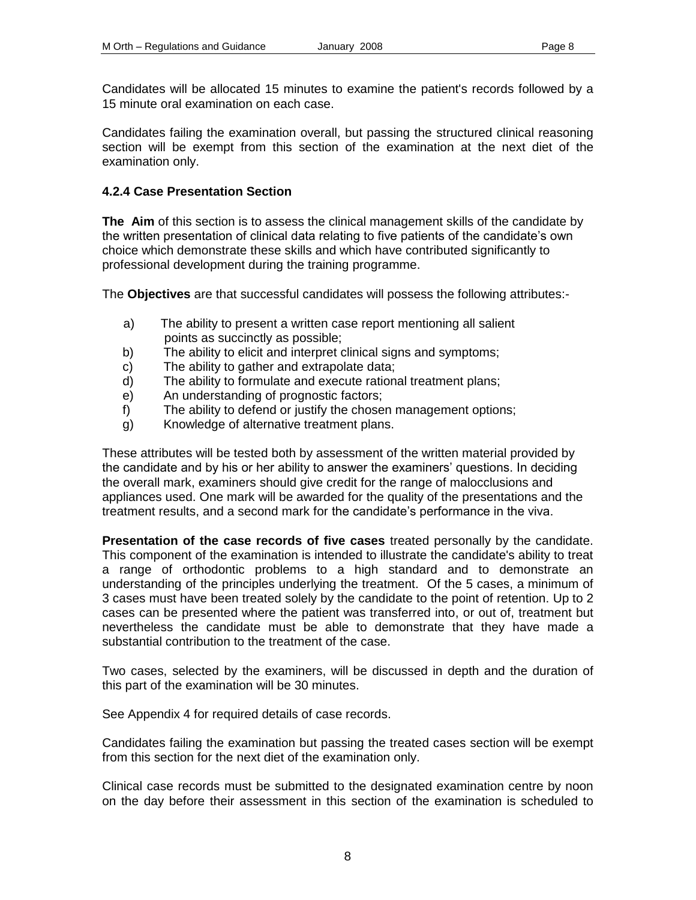Candidates will be allocated 15 minutes to examine the patient's records followed by a 15 minute oral examination on each case.

Candidates failing the examination overall, but passing the structured clinical reasoning section will be exempt from this section of the examination at the next diet of the examination only.

### **4.2.4 Case Presentation Section**

**The Aim** of this section is to assess the clinical management skills of the candidate by the written presentation of clinical data relating to five patients of the candidate's own choice which demonstrate these skills and which have contributed significantly to professional development during the training programme.

The **Objectives** are that successful candidates will possess the following attributes:-

- a) The ability to present a written case report mentioning all salient points as succinctly as possible;
- b) The ability to elicit and interpret clinical signs and symptoms;
- c) The ability to gather and extrapolate data;
- d) The ability to formulate and execute rational treatment plans;
- e) An understanding of prognostic factors;
- f) The ability to defend or justify the chosen management options;
- g) Knowledge of alternative treatment plans.

These attributes will be tested both by assessment of the written material provided by the candidate and by his or her ability to answer the examiners' questions. In deciding the overall mark, examiners should give credit for the range of malocclusions and appliances used. One mark will be awarded for the quality of the presentations and the treatment results, and a second mark for the candidate's performance in the viva.

**Presentation of the case records of five cases** treated personally by the candidate. This component of the examination is intended to illustrate the candidate's ability to treat a range of orthodontic problems to a high standard and to demonstrate an understanding of the principles underlying the treatment. Of the 5 cases, a minimum of 3 cases must have been treated solely by the candidate to the point of retention. Up to 2 cases can be presented where the patient was transferred into, or out of, treatment but nevertheless the candidate must be able to demonstrate that they have made a substantial contribution to the treatment of the case.

Two cases, selected by the examiners, will be discussed in depth and the duration of this part of the examination will be 30 minutes.

See Appendix 4 for required details of case records.

Candidates failing the examination but passing the treated cases section will be exempt from this section for the next diet of the examination only.

Clinical case records must be submitted to the designated examination centre by noon on the day before their assessment in this section of the examination is scheduled to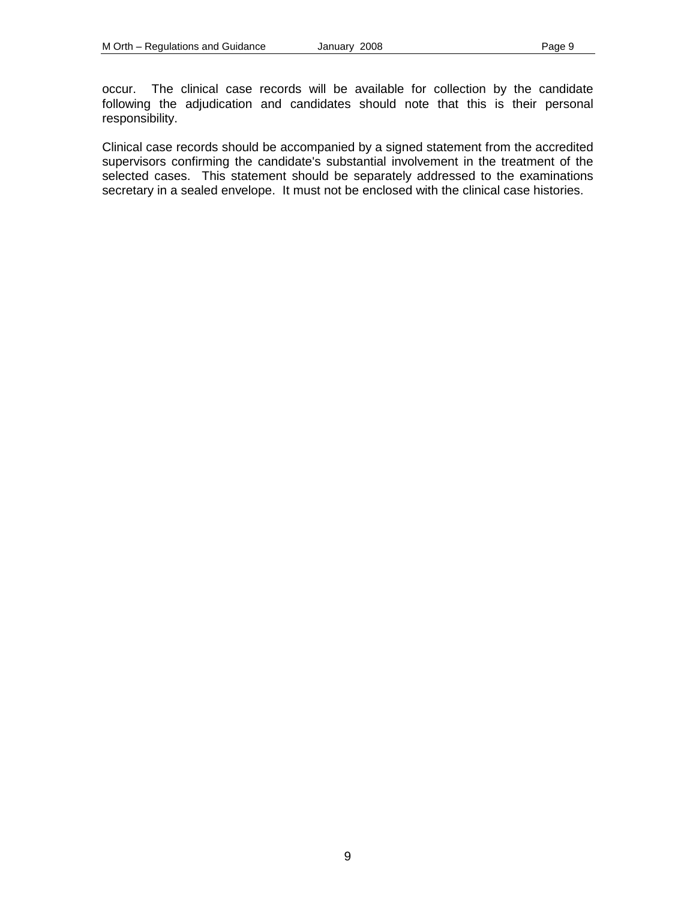occur. The clinical case records will be available for collection by the candidate following the adjudication and candidates should note that this is their personal responsibility.

Clinical case records should be accompanied by a signed statement from the accredited supervisors confirming the candidate's substantial involvement in the treatment of the selected cases. This statement should be separately addressed to the examinations secretary in a sealed envelope. It must not be enclosed with the clinical case histories.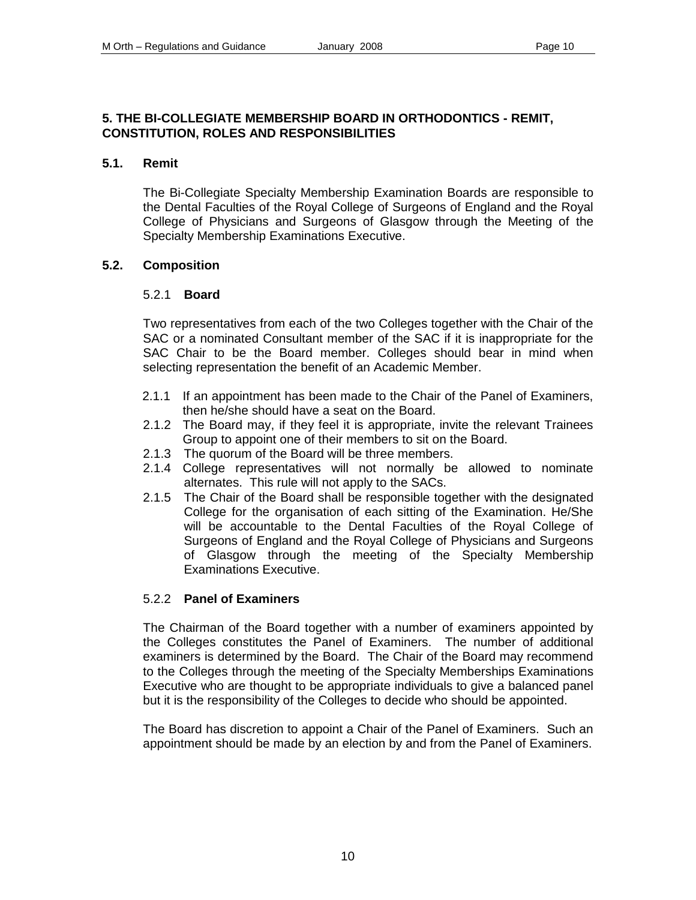### **5. THE BI-COLLEGIATE MEMBERSHIP BOARD IN ORTHODONTICS - REMIT, CONSTITUTION, ROLES AND RESPONSIBILITIES**

### **5.1. Remit**

 The Bi-Collegiate Specialty Membership Examination Boards are responsible to the Dental Faculties of the Royal College of Surgeons of England and the Royal College of Physicians and Surgeons of Glasgow through the Meeting of the Specialty Membership Examinations Executive.

### **5.2. Composition**

### 5.2.1 **Board**

Two representatives from each of the two Colleges together with the Chair of the SAC or a nominated Consultant member of the SAC if it is inappropriate for the SAC Chair to be the Board member. Colleges should bear in mind when selecting representation the benefit of an Academic Member.

- 2.1.1 If an appointment has been made to the Chair of the Panel of Examiners, then he/she should have a seat on the Board.
- 2.1.2 The Board may, if they feel it is appropriate, invite the relevant Trainees Group to appoint one of their members to sit on the Board.
- 2.1.3 The quorum of the Board will be three members.
- 2.1.4 College representatives will not normally be allowed to nominate alternates. This rule will not apply to the SACs.
- 2.1.5 The Chair of the Board shall be responsible together with the designated College for the organisation of each sitting of the Examination. He/She will be accountable to the Dental Faculties of the Royal College of Surgeons of England and the Royal College of Physicians and Surgeons of Glasgow through the meeting of the Specialty Membership Examinations Executive.

### 5.2.2 **Panel of Examiners**

The Chairman of the Board together with a number of examiners appointed by the Colleges constitutes the Panel of Examiners. The number of additional examiners is determined by the Board. The Chair of the Board may recommend to the Colleges through the meeting of the Specialty Memberships Examinations Executive who are thought to be appropriate individuals to give a balanced panel but it is the responsibility of the Colleges to decide who should be appointed.

The Board has discretion to appoint a Chair of the Panel of Examiners. Such an appointment should be made by an election by and from the Panel of Examiners.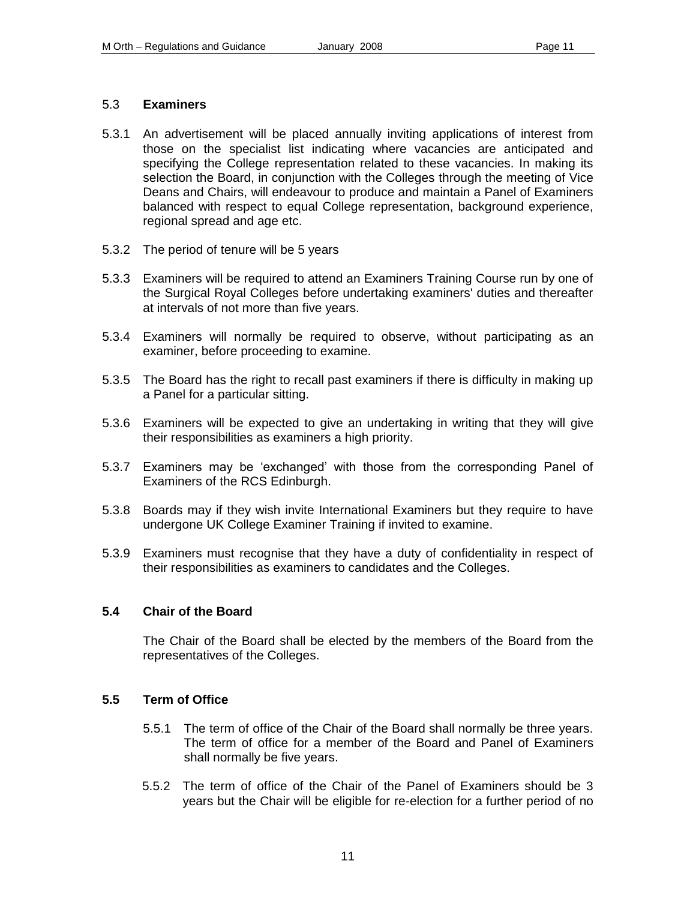### 5.3 **Examiners**

- 5.3.1 An advertisement will be placed annually inviting applications of interest from those on the specialist list indicating where vacancies are anticipated and specifying the College representation related to these vacancies. In making its selection the Board, in conjunction with the Colleges through the meeting of Vice Deans and Chairs, will endeavour to produce and maintain a Panel of Examiners balanced with respect to equal College representation, background experience, regional spread and age etc.
- 5.3.2 The period of tenure will be 5 years
- 5.3.3 Examiners will be required to attend an Examiners Training Course run by one of the Surgical Royal Colleges before undertaking examiners' duties and thereafter at intervals of not more than five years.
- 5.3.4 Examiners will normally be required to observe, without participating as an examiner, before proceeding to examine.
- 5.3.5 The Board has the right to recall past examiners if there is difficulty in making up a Panel for a particular sitting.
- 5.3.6 Examiners will be expected to give an undertaking in writing that they will give their responsibilities as examiners a high priority.
- 5.3.7 Examiners may be 'exchanged' with those from the corresponding Panel of Examiners of the RCS Edinburgh.
- 5.3.8 Boards may if they wish invite International Examiners but they require to have undergone UK College Examiner Training if invited to examine.
- 5.3.9 Examiners must recognise that they have a duty of confidentiality in respect of their responsibilities as examiners to candidates and the Colleges.

### **5.4 Chair of the Board**

The Chair of the Board shall be elected by the members of the Board from the representatives of the Colleges.

### **5.5 Term of Office**

- 5.5.1 The term of office of the Chair of the Board shall normally be three years. The term of office for a member of the Board and Panel of Examiners shall normally be five years.
- 5.5.2 The term of office of the Chair of the Panel of Examiners should be 3 years but the Chair will be eligible for re-election for a further period of no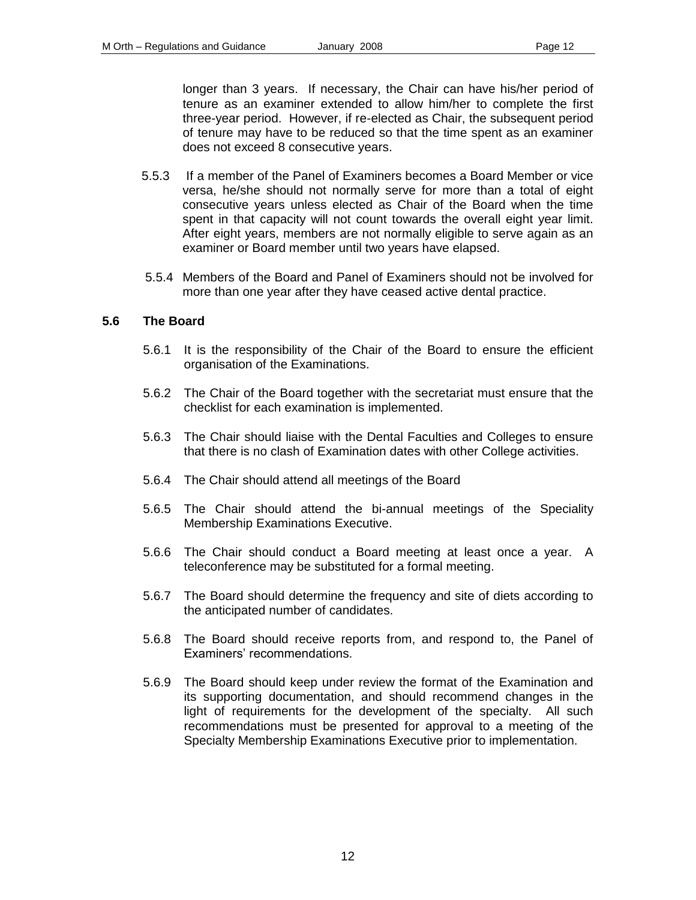longer than 3 years. If necessary, the Chair can have his/her period of tenure as an examiner extended to allow him/her to complete the first three-year period. However, if re-elected as Chair, the subsequent period of tenure may have to be reduced so that the time spent as an examiner does not exceed 8 consecutive years.

- 5.5.3 If a member of the Panel of Examiners becomes a Board Member or vice versa, he/she should not normally serve for more than a total of eight consecutive years unless elected as Chair of the Board when the time spent in that capacity will not count towards the overall eight year limit. After eight years, members are not normally eligible to serve again as an examiner or Board member until two years have elapsed.
- 5.5.4 Members of the Board and Panel of Examiners should not be involved for more than one year after they have ceased active dental practice.

#### **5.6 The Board**

- 5.6.1 It is the responsibility of the Chair of the Board to ensure the efficient organisation of the Examinations.
- 5.6.2 The Chair of the Board together with the secretariat must ensure that the checklist for each examination is implemented.
- 5.6.3 The Chair should liaise with the Dental Faculties and Colleges to ensure that there is no clash of Examination dates with other College activities.
- 5.6.4 The Chair should attend all meetings of the Board
- 5.6.5 The Chair should attend the bi-annual meetings of the Speciality Membership Examinations Executive.
- 5.6.6 The Chair should conduct a Board meeting at least once a year. A teleconference may be substituted for a formal meeting.
- 5.6.7 The Board should determine the frequency and site of diets according to the anticipated number of candidates.
- 5.6.8 The Board should receive reports from, and respond to, the Panel of Examiners' recommendations.
- 5.6.9 The Board should keep under review the format of the Examination and its supporting documentation, and should recommend changes in the light of requirements for the development of the specialty. All such recommendations must be presented for approval to a meeting of the Specialty Membership Examinations Executive prior to implementation.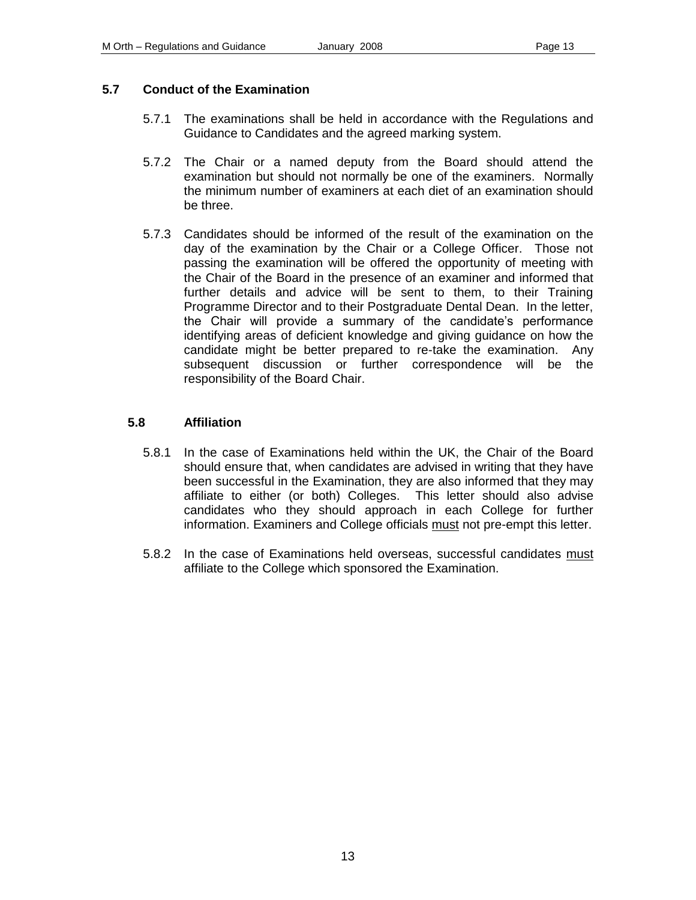### **5.7 Conduct of the Examination**

- 5.7.1 The examinations shall be held in accordance with the Regulations and Guidance to Candidates and the agreed marking system.
- 5.7.2 The Chair or a named deputy from the Board should attend the examination but should not normally be one of the examiners. Normally the minimum number of examiners at each diet of an examination should be three.
- 5.7.3 Candidates should be informed of the result of the examination on the day of the examination by the Chair or a College Officer. Those not passing the examination will be offered the opportunity of meeting with the Chair of the Board in the presence of an examiner and informed that further details and advice will be sent to them, to their Training Programme Director and to their Postgraduate Dental Dean. In the letter, the Chair will provide a summary of the candidate's performance identifying areas of deficient knowledge and giving guidance on how the candidate might be better prepared to re-take the examination. Any subsequent discussion or further correspondence will be the responsibility of the Board Chair.

### **5.8 Affiliation**

- 5.8.1 In the case of Examinations held within the UK, the Chair of the Board should ensure that, when candidates are advised in writing that they have been successful in the Examination, they are also informed that they may affiliate to either (or both) Colleges. This letter should also advise candidates who they should approach in each College for further information. Examiners and College officials must not pre-empt this letter.
- 5.8.2 In the case of Examinations held overseas, successful candidates must affiliate to the College which sponsored the Examination.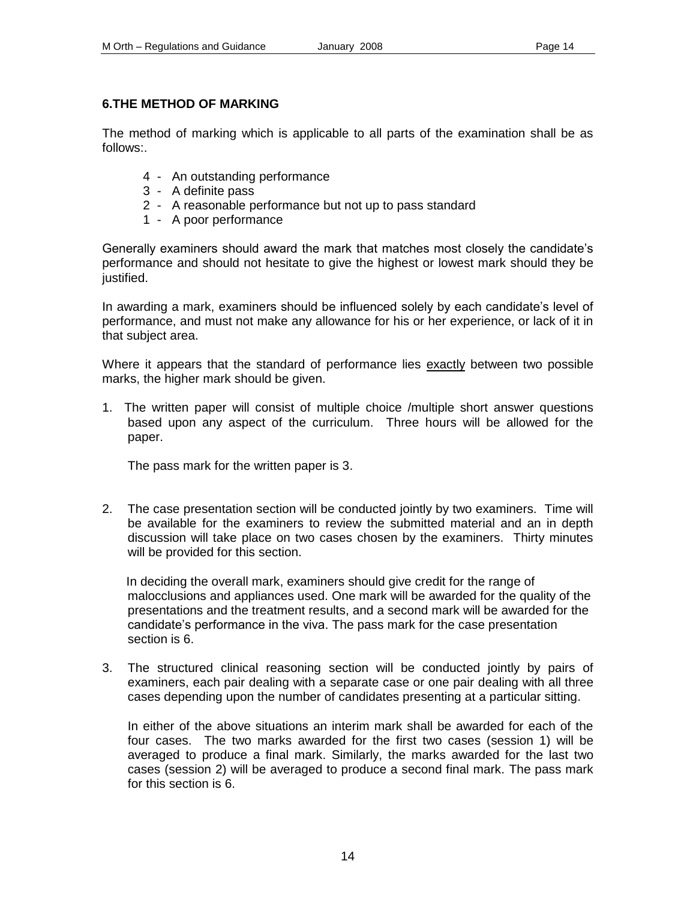### **6.THE METHOD OF MARKING**

The method of marking which is applicable to all parts of the examination shall be as follows:.

- 4 An outstanding performance
- 3 A definite pass
- 2 A reasonable performance but not up to pass standard
- 1 A poor performance

Generally examiners should award the mark that matches most closely the candidate's performance and should not hesitate to give the highest or lowest mark should they be justified.

In awarding a mark, examiners should be influenced solely by each candidate's level of performance, and must not make any allowance for his or her experience, or lack of it in that subject area.

Where it appears that the standard of performance lies exactly between two possible marks, the higher mark should be given.

1. The written paper will consist of multiple choice /multiple short answer questions based upon any aspect of the curriculum. Three hours will be allowed for the paper.

The pass mark for the written paper is 3.

2. The case presentation section will be conducted jointly by two examiners. Time will be available for the examiners to review the submitted material and an in depth discussion will take place on two cases chosen by the examiners. Thirty minutes will be provided for this section.

In deciding the overall mark, examiners should give credit for the range of malocclusions and appliances used. One mark will be awarded for the quality of the presentations and the treatment results, and a second mark will be awarded for the candidate's performance in the viva. The pass mark for the case presentation section is 6.

3. The structured clinical reasoning section will be conducted jointly by pairs of examiners, each pair dealing with a separate case or one pair dealing with all three cases depending upon the number of candidates presenting at a particular sitting.

In either of the above situations an interim mark shall be awarded for each of the four cases. The two marks awarded for the first two cases (session 1) will be averaged to produce a final mark. Similarly, the marks awarded for the last two cases (session 2) will be averaged to produce a second final mark. The pass mark for this section is 6.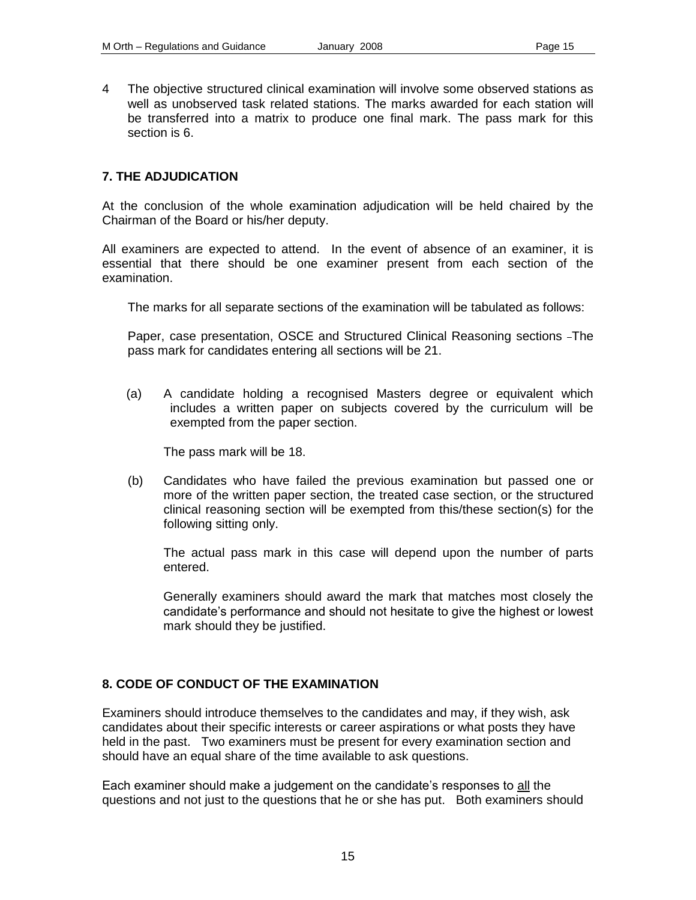4 The objective structured clinical examination will involve some observed stations as well as unobserved task related stations. The marks awarded for each station will be transferred into a matrix to produce one final mark. The pass mark for this section is 6.

#### **7. THE ADJUDICATION**

At the conclusion of the whole examination adjudication will be held chaired by the Chairman of the Board or his/her deputy.

All examiners are expected to attend. In the event of absence of an examiner, it is essential that there should be one examiner present from each section of the examination.

The marks for all separate sections of the examination will be tabulated as follows:

Paper, case presentation, OSCE and Structured Clinical Reasoning sections - The pass mark for candidates entering all sections will be 21.

(a) A candidate holding a recognised Masters degree or equivalent which includes a written paper on subjects covered by the curriculum will be exempted from the paper section.

The pass mark will be 18.

(b) Candidates who have failed the previous examination but passed one or more of the written paper section, the treated case section, or the structured clinical reasoning section will be exempted from this/these section(s) for the following sitting only.

The actual pass mark in this case will depend upon the number of parts entered.

Generally examiners should award the mark that matches most closely the candidate's performance and should not hesitate to give the highest or lowest mark should they be justified.

#### **8. CODE OF CONDUCT OF THE EXAMINATION**

Examiners should introduce themselves to the candidates and may, if they wish, ask candidates about their specific interests or career aspirations or what posts they have held in the past. Two examiners must be present for every examination section and should have an equal share of the time available to ask questions.

Each examiner should make a judgement on the candidate's responses to all the questions and not just to the questions that he or she has put. Both examiners should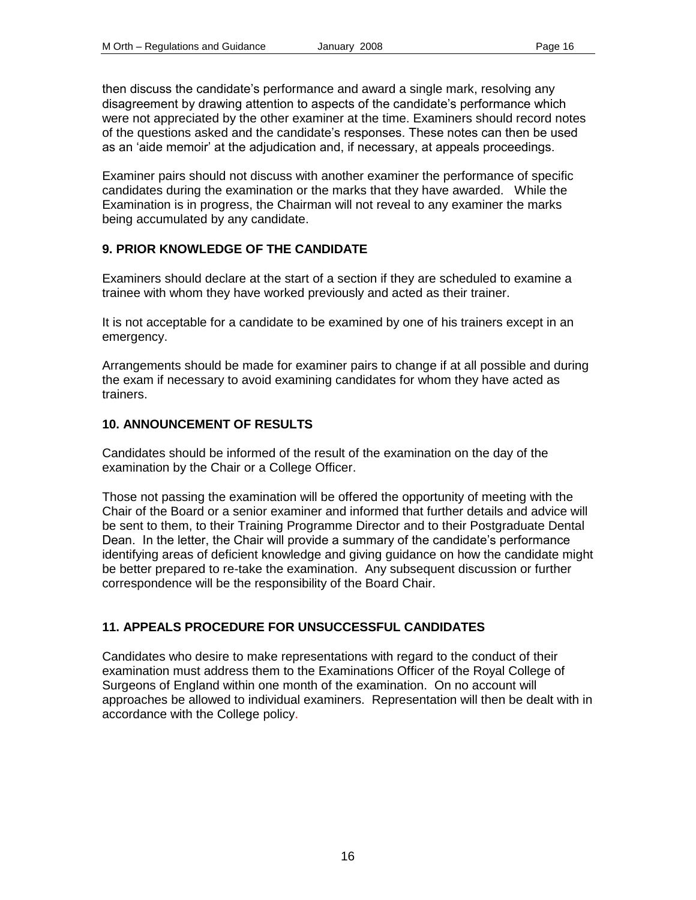then discuss the candidate's performance and award a single mark, resolving any disagreement by drawing attention to aspects of the candidate's performance which were not appreciated by the other examiner at the time. Examiners should record notes of the questions asked and the candidate's responses. These notes can then be used as an 'aide memoir' at the adjudication and, if necessary, at appeals proceedings.

Examiner pairs should not discuss with another examiner the performance of specific candidates during the examination or the marks that they have awarded. While the Examination is in progress, the Chairman will not reveal to any examiner the marks being accumulated by any candidate.

### **9. PRIOR KNOWLEDGE OF THE CANDIDATE**

Examiners should declare at the start of a section if they are scheduled to examine a trainee with whom they have worked previously and acted as their trainer.

It is not acceptable for a candidate to be examined by one of his trainers except in an emergency.

Arrangements should be made for examiner pairs to change if at all possible and during the exam if necessary to avoid examining candidates for whom they have acted as trainers.

# **10. ANNOUNCEMENT OF RESULTS**

Candidates should be informed of the result of the examination on the day of the examination by the Chair or a College Officer.

Those not passing the examination will be offered the opportunity of meeting with the Chair of the Board or a senior examiner and informed that further details and advice will be sent to them, to their Training Programme Director and to their Postgraduate Dental Dean. In the letter, the Chair will provide a summary of the candidate's performance identifying areas of deficient knowledge and giving guidance on how the candidate might be better prepared to re-take the examination. Any subsequent discussion or further correspondence will be the responsibility of the Board Chair.

# **11. APPEALS PROCEDURE FOR UNSUCCESSFUL CANDIDATES**

Candidates who desire to make representations with regard to the conduct of their examination must address them to the Examinations Officer of the Royal College of Surgeons of England within one month of the examination. On no account will approaches be allowed to individual examiners. Representation will then be dealt with in accordance with the College policy.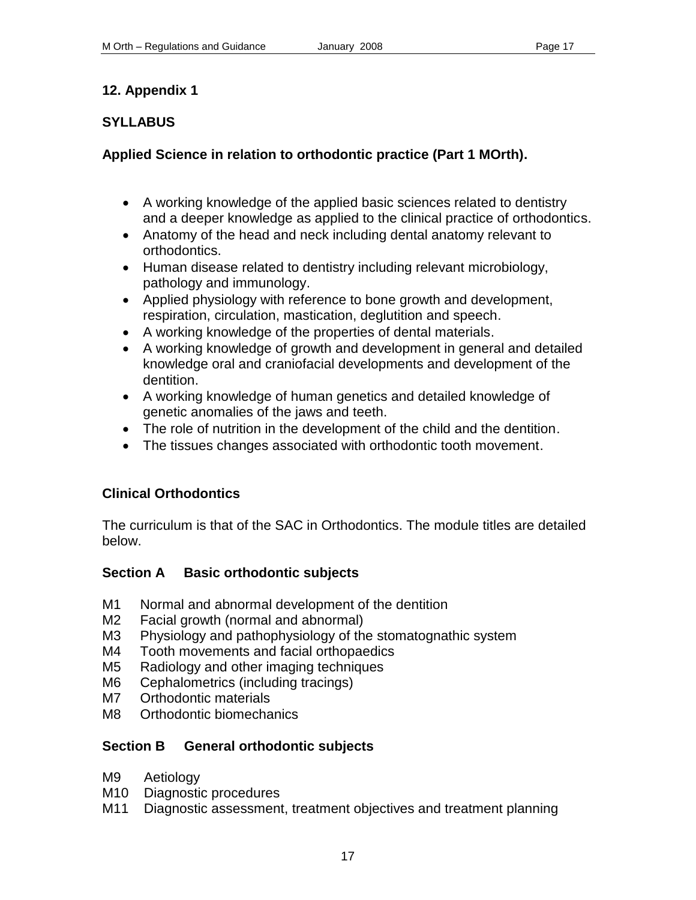# **SYLLABUS**

# **Applied Science in relation to orthodontic practice (Part 1 MOrth).**

- A working knowledge of the applied basic sciences related to dentistry and a deeper knowledge as applied to the clinical practice of orthodontics.
- Anatomy of the head and neck including dental anatomy relevant to orthodontics.
- Human disease related to dentistry including relevant microbiology, pathology and immunology.
- Applied physiology with reference to bone growth and development, respiration, circulation, mastication, deglutition and speech.
- A working knowledge of the properties of dental materials.
- A working knowledge of growth and development in general and detailed knowledge oral and craniofacial developments and development of the dentition.
- A working knowledge of human genetics and detailed knowledge of genetic anomalies of the jaws and teeth.
- The role of nutrition in the development of the child and the dentition.
- The tissues changes associated with orthodontic tooth movement.

# **Clinical Orthodontics**

The curriculum is that of the SAC in Orthodontics. The module titles are detailed below.

# **Section A Basic orthodontic subjects**

- M1 Normal and abnormal development of the dentition
- M2 Facial growth (normal and abnormal)
- M3 Physiology and pathophysiology of the stomatognathic system
- M4 Tooth movements and facial orthopaedics
- M5 Radiology and other imaging techniques
- M6 Cephalometrics (including tracings)
- M7 Orthodontic materials
- M8 Orthodontic biomechanics

# **Section B General orthodontic subjects**

- M9 Aetiology
- M10 Diagnostic procedures
- M11 Diagnostic assessment, treatment objectives and treatment planning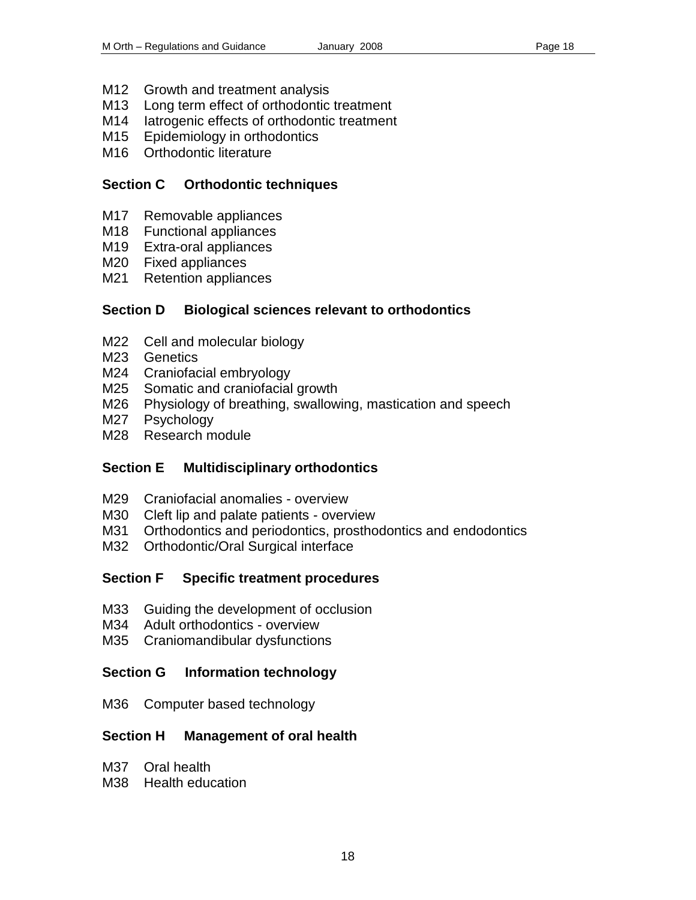- M12 Growth and treatment analysis
- M13 Long term effect of orthodontic treatment
- M14 latrogenic effects of orthodontic treatment
- M15 Epidemiology in orthodontics
- M<sub>16</sub> Orthodontic literature

### **Section C Orthodontic techniques**

- M17 Removable appliances
- M18 Functional appliances
- M19 Extra-oral appliances
- M20 Fixed appliances
- M21 Retention appliances

# **Section D Biological sciences relevant to orthodontics**

- M22 Cell and molecular biology
- M23 Genetics
- M24 Craniofacial embryology
- M25 Somatic and craniofacial growth
- M26 Physiology of breathing, swallowing, mastication and speech
- M27 Psychology
- M28 Research module

# **Section E Multidisciplinary orthodontics**

- M29 Craniofacial anomalies overview
- M30 Cleft lip and palate patients overview
- M31 Orthodontics and periodontics, prosthodontics and endodontics
- M32 Orthodontic/Oral Surgical interface

# **Section F Specific treatment procedures**

- M33 Guiding the development of occlusion
- M34 Adult orthodontics overview
- M35 Craniomandibular dysfunctions

# **Section G Information technology**

M36 Computer based technology

# **Section H Management of oral health**

- M37 Oral health
- M38 Health education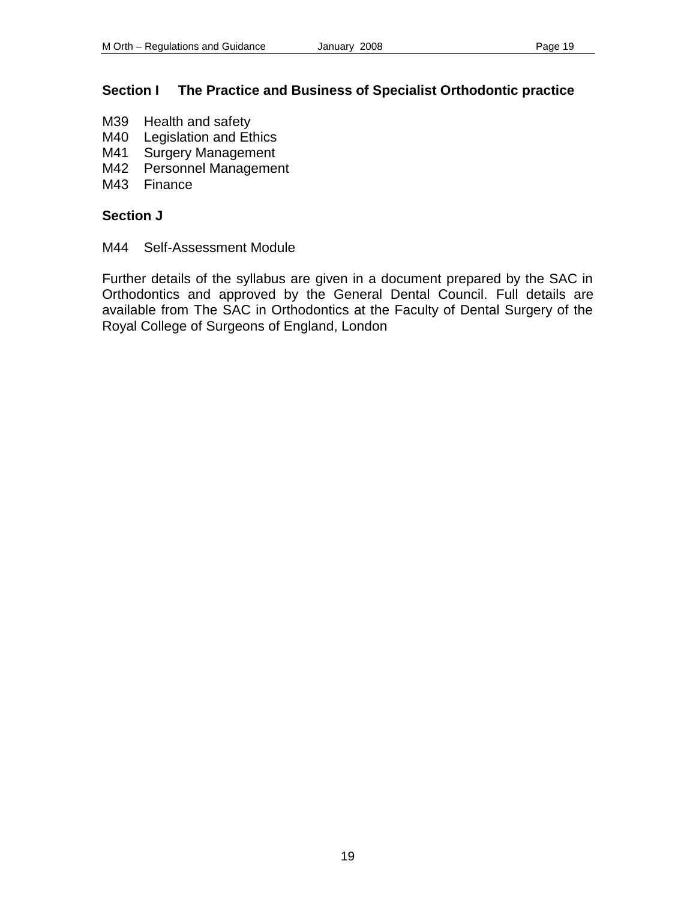# **Section I The Practice and Business of Specialist Orthodontic practice**

- M39 Health and safety
- M40 Legislation and Ethics
- M41 Surgery Management
- M42 Personnel Management
- M43 Finance

# **Section J**

M44 Self-Assessment Module

Further details of the syllabus are given in a document prepared by the SAC in Orthodontics and approved by the General Dental Council. Full details are available from The SAC in Orthodontics at the Faculty of Dental Surgery of the Royal College of Surgeons of England, London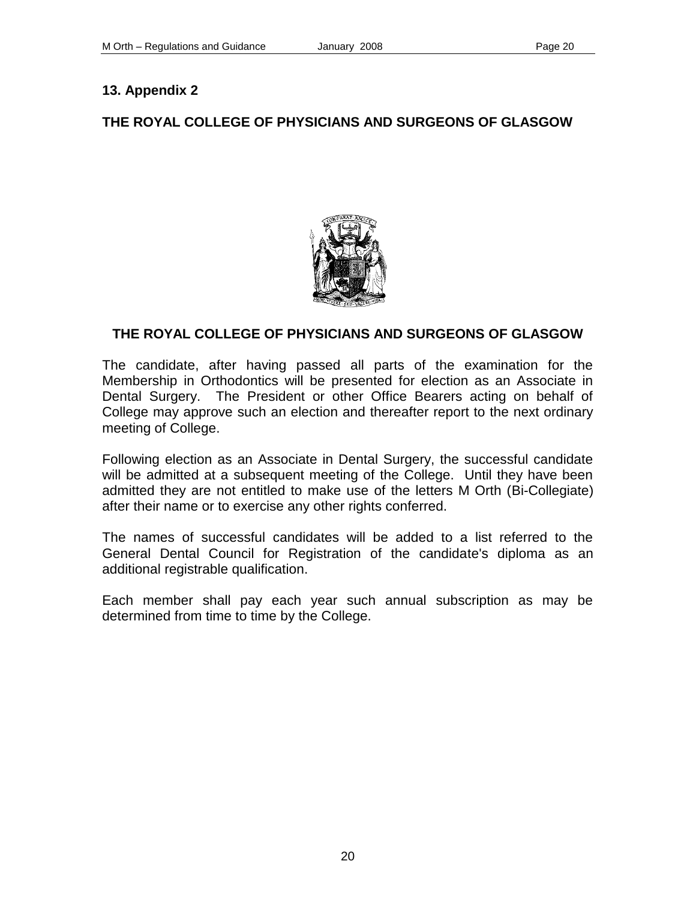# **THE ROYAL COLLEGE OF PHYSICIANS AND SURGEONS OF GLASGOW**



# **THE ROYAL COLLEGE OF PHYSICIANS AND SURGEONS OF GLASGOW**

The candidate, after having passed all parts of the examination for the Membership in Orthodontics will be presented for election as an Associate in Dental Surgery. The President or other Office Bearers acting on behalf of College may approve such an election and thereafter report to the next ordinary meeting of College.

Following election as an Associate in Dental Surgery, the successful candidate will be admitted at a subsequent meeting of the College. Until they have been admitted they are not entitled to make use of the letters M Orth (Bi-Collegiate) after their name or to exercise any other rights conferred.

The names of successful candidates will be added to a list referred to the General Dental Council for Registration of the candidate's diploma as an additional registrable qualification.

Each member shall pay each year such annual subscription as may be determined from time to time by the College.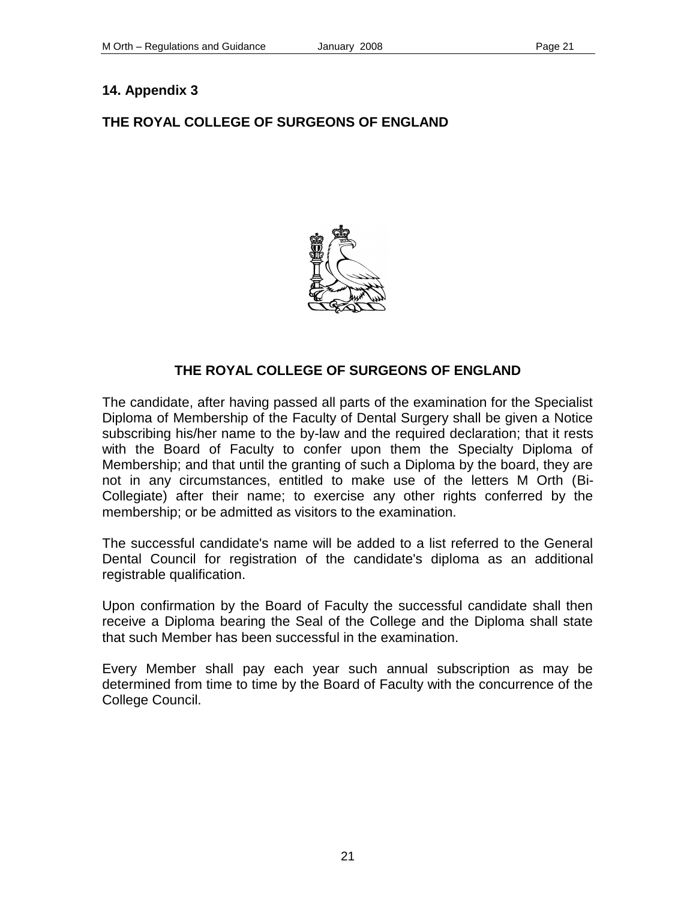# **THE ROYAL COLLEGE OF SURGEONS OF ENGLAND**



# **THE ROYAL COLLEGE OF SURGEONS OF ENGLAND**

The candidate, after having passed all parts of the examination for the Specialist Diploma of Membership of the Faculty of Dental Surgery shall be given a Notice subscribing his/her name to the by-law and the required declaration; that it rests with the Board of Faculty to confer upon them the Specialty Diploma of Membership; and that until the granting of such a Diploma by the board, they are not in any circumstances, entitled to make use of the letters M Orth (Bi-Collegiate) after their name; to exercise any other rights conferred by the membership; or be admitted as visitors to the examination.

The successful candidate's name will be added to a list referred to the General Dental Council for registration of the candidate's diploma as an additional registrable qualification.

Upon confirmation by the Board of Faculty the successful candidate shall then receive a Diploma bearing the Seal of the College and the Diploma shall state that such Member has been successful in the examination.

Every Member shall pay each year such annual subscription as may be determined from time to time by the Board of Faculty with the concurrence of the College Council.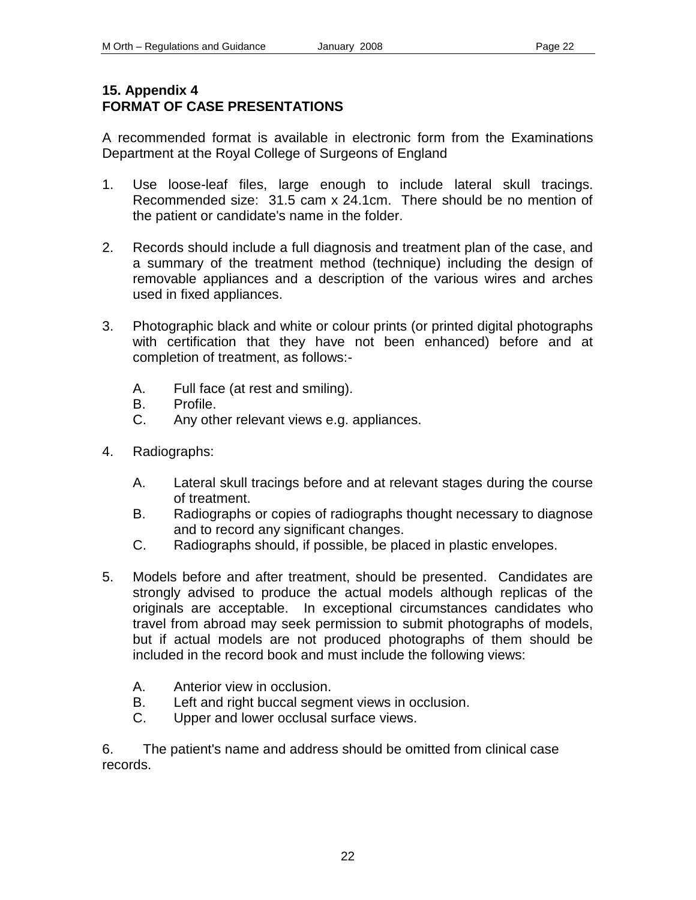# **15. Appendix 4 FORMAT OF CASE PRESENTATIONS**

A recommended format is available in electronic form from the Examinations Department at the Royal College of Surgeons of England

- 1. Use loose-leaf files, large enough to include lateral skull tracings. Recommended size: 31.5 cam x 24.1cm. There should be no mention of the patient or candidate's name in the folder.
- 2. Records should include a full diagnosis and treatment plan of the case, and a summary of the treatment method (technique) including the design of removable appliances and a description of the various wires and arches used in fixed appliances.
- 3. Photographic black and white or colour prints (or printed digital photographs with certification that they have not been enhanced) before and at completion of treatment, as follows:-
	- A. Full face (at rest and smiling).
	- B. Profile.
	- C. Any other relevant views e.g. appliances.
- 4. Radiographs:
	- A. Lateral skull tracings before and at relevant stages during the course of treatment.
	- B. Radiographs or copies of radiographs thought necessary to diagnose and to record any significant changes.
	- C. Radiographs should, if possible, be placed in plastic envelopes.
- 5. Models before and after treatment, should be presented. Candidates are strongly advised to produce the actual models although replicas of the originals are acceptable. In exceptional circumstances candidates who travel from abroad may seek permission to submit photographs of models, but if actual models are not produced photographs of them should be included in the record book and must include the following views:
	- A. Anterior view in occlusion.
	- B. Left and right buccal segment views in occlusion.
	- C. Upper and lower occlusal surface views.

6. The patient's name and address should be omitted from clinical case records.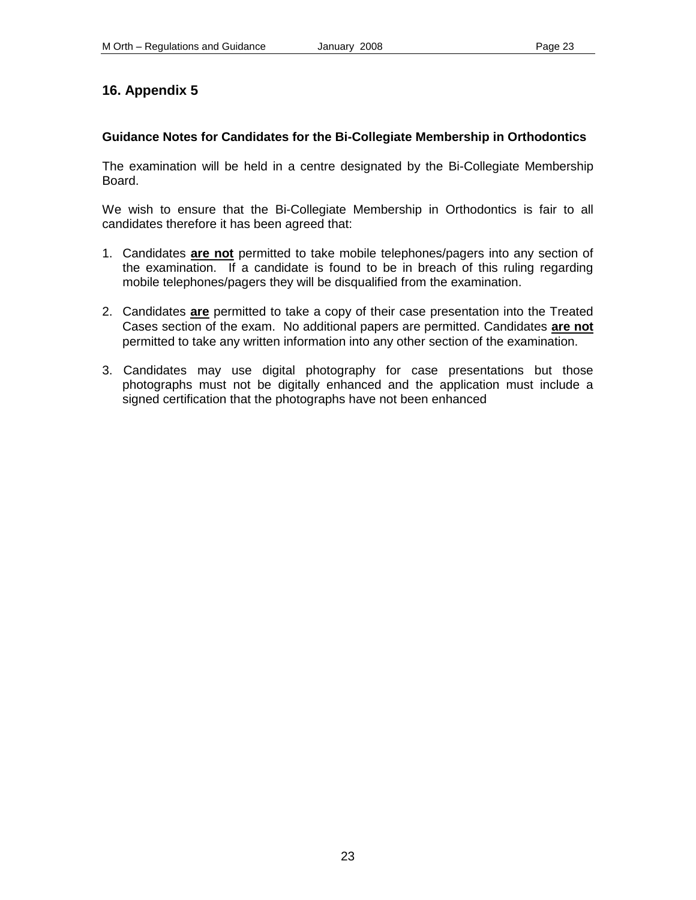### **Guidance Notes for Candidates for the Bi-Collegiate Membership in Orthodontics**

The examination will be held in a centre designated by the Bi-Collegiate Membership Board.

We wish to ensure that the Bi-Collegiate Membership in Orthodontics is fair to all candidates therefore it has been agreed that:

- 1. Candidates **are not** permitted to take mobile telephones/pagers into any section of the examination. If a candidate is found to be in breach of this ruling regarding mobile telephones/pagers they will be disqualified from the examination.
- 2. Candidates **are** permitted to take a copy of their case presentation into the Treated Cases section of the exam. No additional papers are permitted. Candidates **are not** permitted to take any written information into any other section of the examination.
- 3. Candidates may use digital photography for case presentations but those photographs must not be digitally enhanced and the application must include a signed certification that the photographs have not been enhanced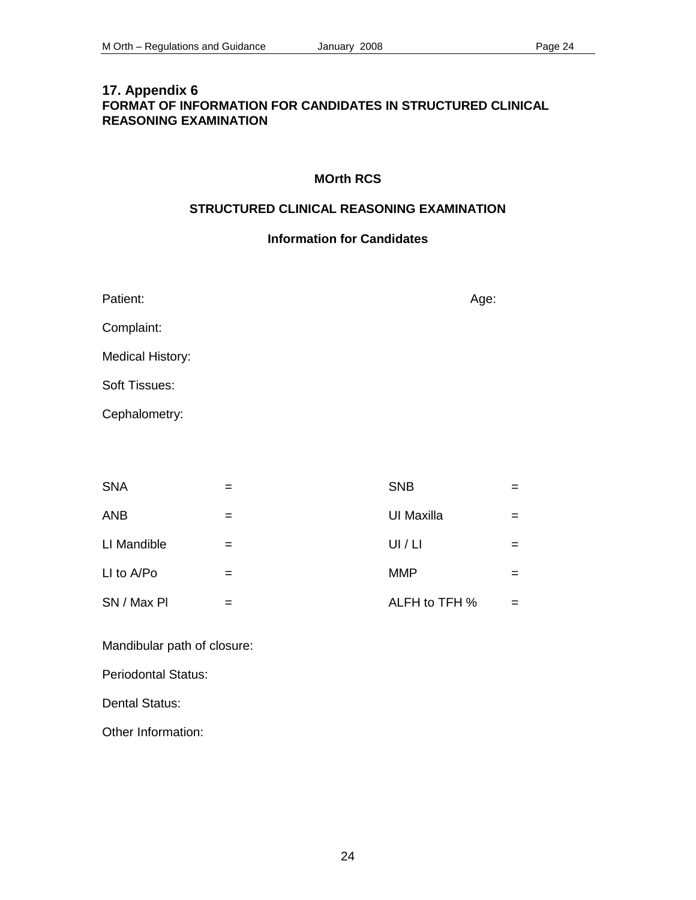# **17. Appendix 6 FORMAT OF INFORMATION FOR CANDIDATES IN STRUCTURED CLINICAL REASONING EXAMINATION**

### **MOrth RCS**

#### **STRUCTURED CLINICAL REASONING EXAMINATION**

# **Information for Candidates**

| Patient:                | Age: |
|-------------------------|------|
| Complaint:              |      |
| <b>Medical History:</b> |      |
| Soft Tissues:           |      |
| Cephalometry:           |      |
|                         |      |

| <b>SNA</b>  |   | <b>SNB</b>    |  |
|-------------|---|---------------|--|
| <b>ANB</b>  |   | UI Maxilla    |  |
| LI Mandible | = | UI / LI       |  |
| LI to A/Po  | = | <b>MMP</b>    |  |
| SN / Max PI |   | ALFH to TFH % |  |

Mandibular path of closure:

Periodontal Status:

Dental Status:

Other Information: